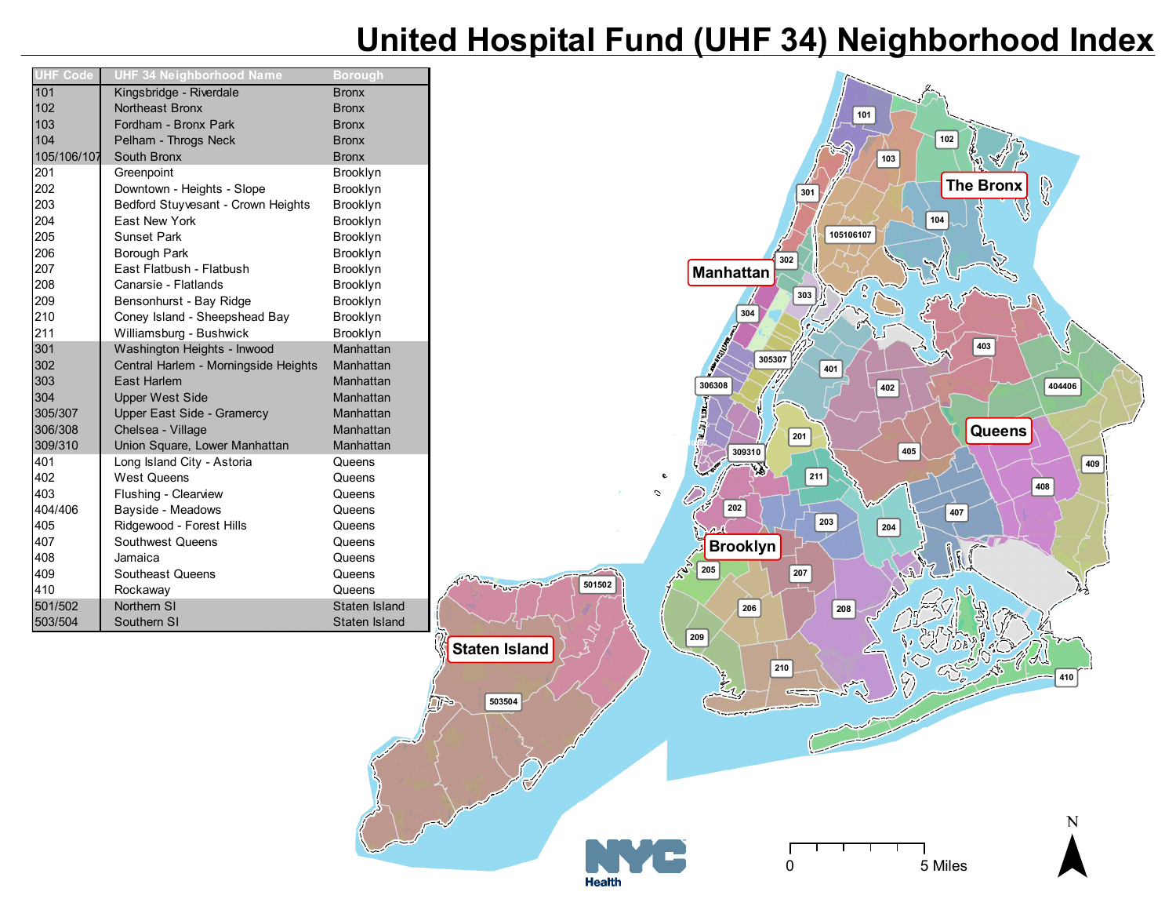## **United Hospital Fund (UHF 34) Neighborhood Index**

| <b>UHF Code</b> | <b>UHF 34 Neighborhood Name</b>      | <b>Borough</b> |
|-----------------|--------------------------------------|----------------|
| 101             | Kingsbridge - Riverdale              | <b>Bronx</b>   |
| 102             | Northeast Bronx                      | <b>Bronx</b>   |
| 103             | Fordham - Bronx Park                 | <b>Bronx</b>   |
| 104             | Pelham - Throgs Neck                 | <b>Bronx</b>   |
| 105/106/107     | South Bronx                          | <b>Bronx</b>   |
| 201             | Greenpoint                           | Brooklyn       |
| 202             | Downtown - Heights - Slope           | Brooklyn       |
| 203             | Bedford Stuyvesant - Crown Heights   | Brooklyn       |
| 204             | East New York                        | Brooklyn       |
| 205             | <b>Sunset Park</b>                   | Brooklyn       |
| 206             | Borough Park                         | Brooklyn       |
| 207             | East Flatbush - Flatbush             | Brooklyn       |
| 208             | Canarsie - Flatlands                 | Brooklyn       |
| 209             | Bensonhurst - Bay Ridge              | Brooklyn       |
| 210             | Coney Island - Sheepshead Bay        | Brooklyn       |
| 211             | Williamsburg - Bushwick              | Brooklyn       |
| 301             | Washington Heights - Inwood          | Manhattan      |
| 302             | Central Harlem - Morningside Heights | Manhattan      |
| 303             | East Harlem                          | Manhattan      |
| 304             | <b>Upper West Side</b>               | Manhattan      |
| 305/307         | Upper East Side - Gramercy           | Manhattan      |
| 306/308         | Chelsea - Village                    | Manhattan      |
| 309/310         | Union Square, Lower Manhattan        | Manhattan      |
| 401             | Long Island City - Astoria           | Queens         |
| 402             | <b>West Queens</b>                   | Queens         |
| 403             | Flushing - Clearview                 | Queens         |
| 404/406         | Bayside - Meadows                    | Queens         |
| 405             | Ridgewood - Forest Hills             | Queens         |
| 407             | Southwest Queens                     | Queens         |
| 408             | Jamaica                              | Queens         |
| 409             | Southeast Queens                     | Queens         |
| 410             | Rockaway                             | Queens         |
| 501/502         | Northern SI                          | Staten Island  |
| 503/504         | Southern SI                          | Staten Island  |

 $\Box$